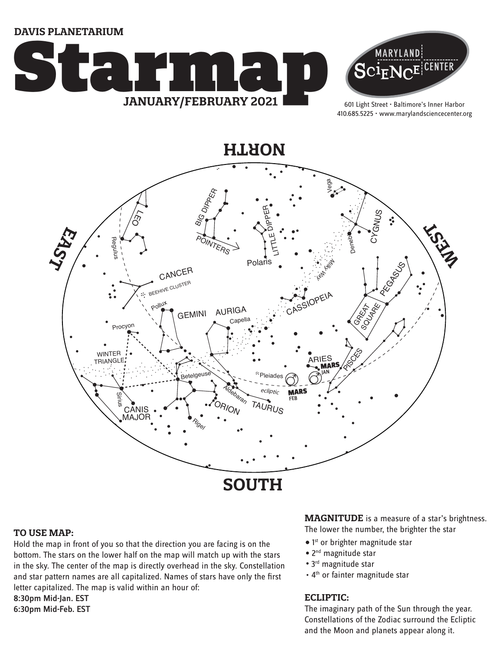**DAVIS PLANETARIUM**





601 Light Street • Baltimore's Inner Harbor 410.685.5225 • www.marylandsciencecenter.org



#### **TO USE MAP:**

Hold the map in front of you so that the direction you are facing is on the bottom. The stars on the lower half on the map will match up with the stars in the sky. The center of the map is directly overhead in the sky. Constellation and star pattern names are all capitalized. Names of stars have only the first letter capitalized. The map is valid within an hour of: 8:30pm Mid-Jan. EST

6:30pm Mid-Feb. EST

**MAGNITUDE** is a measure of a star's brightness. The lower the number, the brighter the star

- 1<sup>st</sup> or brighter magnitude star
- 2<sup>nd</sup> magnitude star
- 3<sup>rd</sup> magnitude star
- 4<sup>th</sup> or fainter magnitude star

### **ECLIPTIC:**

The imaginary path of the Sun through the year. Constellations of the Zodiac surround the Ecliptic and the Moon and planets appear along it.